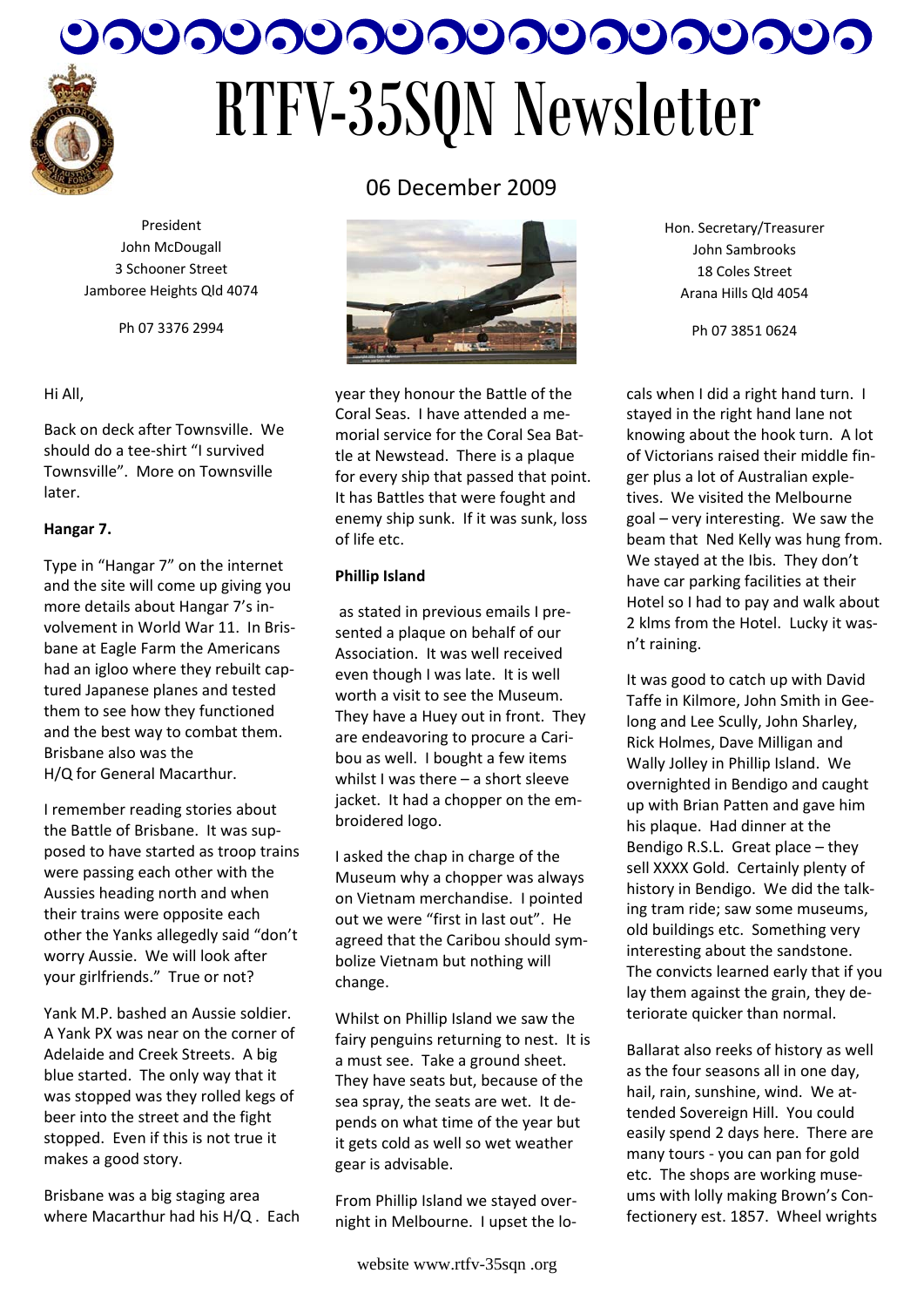

# つつつつつつつつつつつつつつつつつつ RTFV-35SQN Newsletter

President John McDougall 3 Schooner Street Jamboree Heights Qld 4074

Ph 07 3376 2994

#### Hi All,

Back on deck after Townsville. We should do a tee‐shirt "I survived Townsville". More on Townsville later.

#### **Hangar 7.**

Type in "Hangar 7" on the internet and the site will come up giving you more details about Hangar 7's in‐ volvement in World War 11. In Bris‐ bane at Eagle Farm the Americans had an igloo where they rebuilt cap‐ tured Japanese planes and tested them to see how they functioned and the best way to combat them. Brisbane also was the H/Q for General Macarthur.

I remember reading stories about the Battle of Brisbane. It was sup‐ posed to have started as troop trains were passing each other with the Aussies heading north and when their trains were opposite each other the Yanks allegedly said "don't worry Aussie. We will look after your girlfriends." True or not?

Yank M.P. bashed an Aussie soldier. A Yank PX was near on the corner of Adelaide and Creek Streets. A big blue started. The only way that it was stopped was they rolled kegs of beer into the street and the fight stopped. Even if this is not true it makes a good story.

Brisbane was a big staging area where Macarthur had his H/Q . Each



06 December 2009

year they honour the Battle of the Coral Seas. I have attended a me‐ morial service for the Coral Sea Bat‐ tle at Newstead. There is a plaque for every ship that passed that point. It has Battles that were fought and enemy ship sunk. If it was sunk, loss of life etc.

#### **Phillip Island**

as stated in previous emails I pre‐ sented a plaque on behalf of our Association. It was well received even though I was late. It is well worth a visit to see the Museum. They have a Huey out in front. They are endeavoring to procure a Cari‐ bou as well. I bought a few items whilst I was there – a short sleeve jacket. It had a chopper on the embroidered logo.

I asked the chap in charge of the Museum why a chopper was always on Vietnam merchandise. I pointed out we were "first in last out". He agreed that the Caribou should sym‐ bolize Vietnam but nothing will change.

Whilst on Phillip Island we saw the fairy penguins returning to nest. It is a must see. Take a ground sheet. They have seats but, because of the sea spray, the seats are wet. It de‐ pends on what time of the year but it gets cold as well so wet weather gear is advisable.

From Phillip Island we stayed over‐ night in Melbourne. I upset the lo‐ Hon. Secretary/Treasurer John Sambrooks 18 Coles Street Arana Hills Qld 4054

Ph 07 3851 0624

cals when I did a right hand turn. I stayed in the right hand lane not knowing about the hook turn. A lot of Victorians raised their middle fin‐ ger plus a lot of Australian exple‐ tives. We visited the Melbourne goal – very interesting. We saw the beam that Ned Kelly was hung from. We stayed at the Ibis. They don't have car parking facilities at their Hotel so I had to pay and walk about 2 klms from the Hotel. Lucky it was‐ n't raining.

It was good to catch up with David Taffe in Kilmore, John Smith in Gee‐ long and Lee Scully, John Sharley, Rick Holmes, Dave Milligan and Wally Jolley in Phillip Island. We overnighted in Bendigo and caught up with Brian Patten and gave him his plaque. Had dinner at the Bendigo R.S.L. Great place – they sell XXXX Gold. Certainly plenty of history in Bendigo. We did the talk‐ ing tram ride; saw some museums, old buildings etc. Something very interesting about the sandstone. The convicts learned early that if you lay them against the grain, they de‐ teriorate quicker than normal.

Ballarat also reeks of history as well as the four seasons all in one day, hail, rain, sunshine, wind. We at‐ tended Sovereign Hill. You could easily spend 2 days here. There are many tours ‐ you can pan for gold etc. The shops are working muse‐ ums with lolly making Brown's Con‐ fectionery est. 1857. Wheel wrights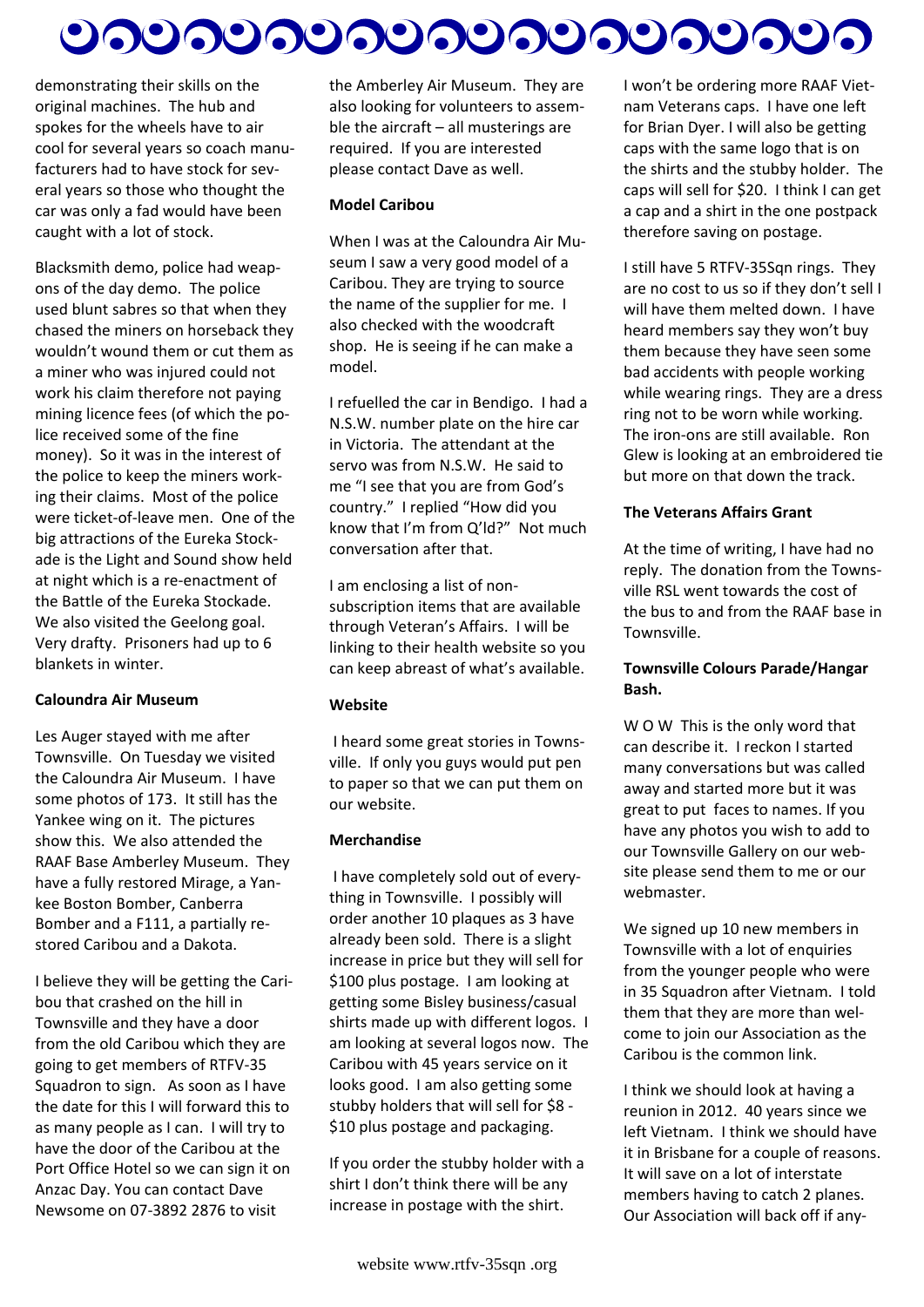# <u>ಲನಲನಲನಲನಲನಲನಲನಲನಲ</u>

demonstrating their skills on the original machines. The hub and spokes for the wheels have to air cool for several years so coach manu‐ facturers had to have stock for sev‐ eral years so those who thought the car was only a fad would have been caught with a lot of stock.

Blacksmith demo, police had weap‐ ons of the day demo. The police used blunt sabres so that when they chased the miners on horseback they wouldn't wound them or cut them as a miner who was injured could not work his claim therefore not paying mining licence fees (of which the po‐ lice received some of the fine money). So it was in the interest of the police to keep the miners work‐ ing their claims. Most of the police were ticket‐of‐leave men. One of the big attractions of the Eureka Stock‐ ade is the Light and Sound show held at night which is a re‐enactment of the Battle of the Eureka Stockade. We also visited the Geelong goal. Very drafty. Prisoners had up to 6 blankets in winter.

#### **Caloundra Air Museum**

Les Auger stayed with me after Townsville. On Tuesday we visited the Caloundra Air Museum. I have some photos of 173. It still has the Yankee wing on it. The pictures show this. We also attended the RAAF Base Amberley Museum. They have a fully restored Mirage, a Yan‐ kee Boston Bomber, Canberra Bomber and a F111, a partially re‐ stored Caribou and a Dakota.

I believe they will be getting the Cari‐ bou that crashed on the hill in Townsville and they have a door from the old Caribou which they are going to get members of RTFV‐35 Squadron to sign. As soon as I have the date for this I will forward this to as many people as I can. I will try to have the door of the Caribou at the Port Office Hotel so we can sign it on Anzac Day. You can contact Dave Newsome on 07‐3892 2876 to visit

the Amberley Air Museum. They are also looking for volunteers to assem‐ ble the aircraft – all musterings are required. If you are interested please contact Dave as well.

#### **Model Caribou**

When I was at the Caloundra Air Mu‐ seum I saw a very good model of a Caribou. They are trying to source the name of the supplier for me. I also checked with the woodcraft shop. He is seeing if he can make a model.

I refuelled the car in Bendigo. I had a N.S.W. number plate on the hire car in Victoria. The attendant at the servo was from N.S.W. He said to me "I see that you are from God's country." I replied "How did you know that I'm from Q'ld?" Not much conversation after that.

I am enclosing a list of non‐ subscription items that are available through Veteran's Affairs. I will be linking to their health website so you can keep abreast of what's available.

#### **Website**

I heard some great stories in Towns‐ ville. If only you guys would put pen to paper so that we can put them on our website.

#### **Merchandise**

I have completely sold out of every‐ thing in Townsville. I possibly will order another 10 plaques as 3 have already been sold. There is a slight increase in price but they will sell for \$100 plus postage. I am looking at getting some Bisley business/casual shirts made up with different logos. I am looking at several logos now. The Caribou with 45 years service on it looks good. I am also getting some stubby holders that will sell for \$8 ‐ \$10 plus postage and packaging.

If you order the stubby holder with a shirt I don't think there will be any increase in postage with the shirt.

I won't be ordering more RAAF Viet‐ nam Veterans caps. I have one left for Brian Dyer. I will also be getting caps with the same logo that is on the shirts and the stubby holder. The caps will sell for \$20. I think I can get a cap and a shirt in the one postpack therefore saving on postage.

I still have 5 RTFV‐35Sqn rings. They are no cost to us so if they don't sell I will have them melted down. I have heard members say they won't buy them because they have seen some bad accidents with people working while wearing rings. They are a dress ring not to be worn while working. The iron‐ons are still available. Ron Glew is looking at an embroidered tie but more on that down the track.

#### **The Veterans Affairs Grant**

At the time of writing, I have had no reply. The donation from the Towns‐ ville RSL went towards the cost of the bus to and from the RAAF base in Townsville.

#### **Townsville Colours Parade/Hangar Bash.**

W O W This is the only word that can describe it. I reckon I started many conversations but was called away and started more but it was great to put faces to names. If you have any photos you wish to add to our Townsville Gallery on our web‐ site please send them to me or our webmaster.

We signed up 10 new members in Townsville with a lot of enquiries from the younger people who were in 35 Squadron after Vietnam. I told them that they are more than wel‐ come to join our Association as the Caribou is the common link.

I think we should look at having a reunion in 2012. 40 years since we left Vietnam. I think we should have it in Brisbane for a couple of reasons. It will save on a lot of interstate members having to catch 2 planes. Our Association will back off if any‐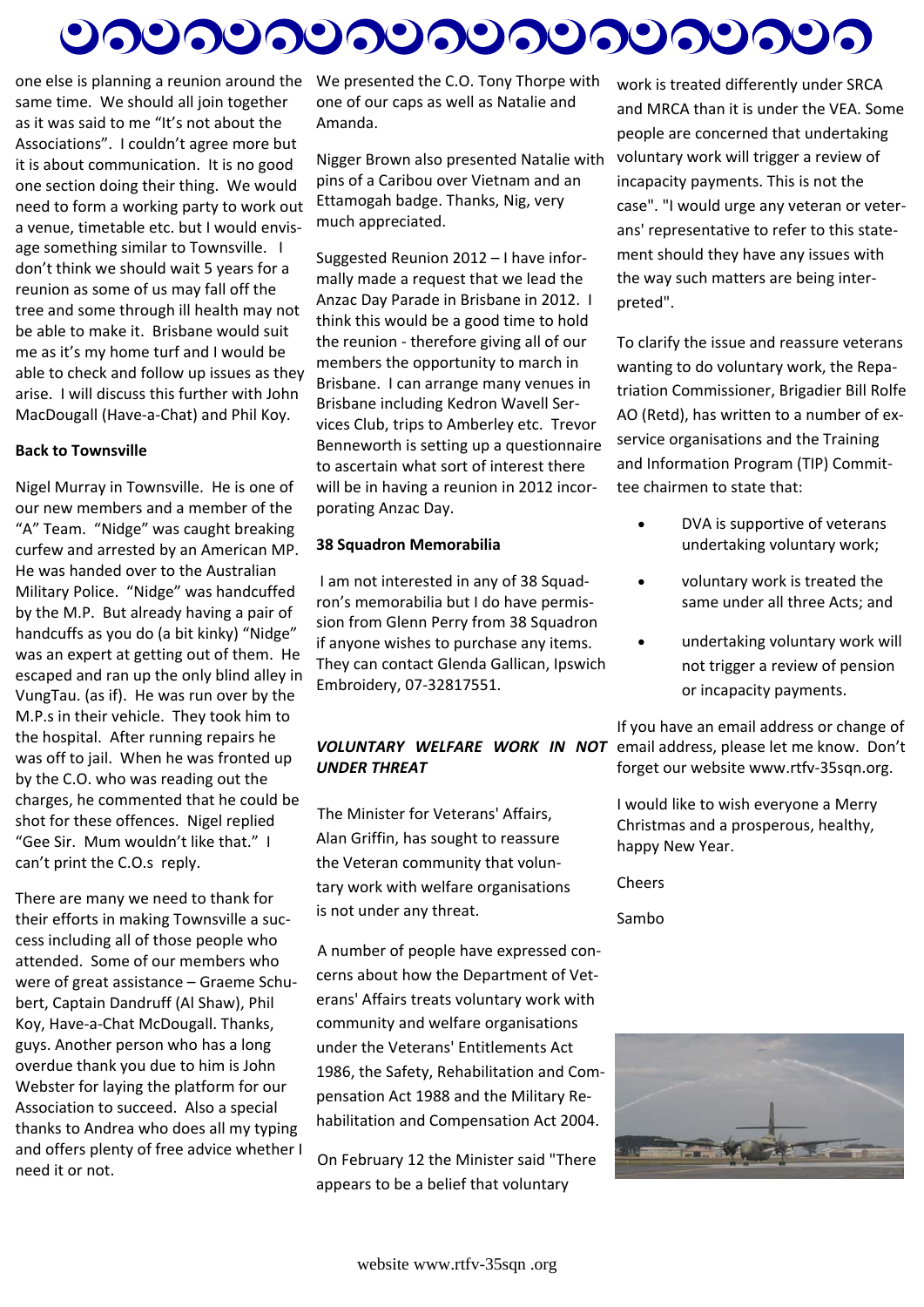# <u>ಲನಲನಲನಲನಲನಲನಲನಲನಲು</u>

one else is planning a reunion around the same time. We should all join together as it was said to me "It's not about the Associations". I couldn't agree more but it is about communication. It is no good one section doing their thing. We would need to form a working party to work out a venue, timetable etc. but I would envis‐ age something similar to Townsville. I don't think we should wait 5 years for a reunion as some of us may fall off the tree and some through ill health may not be able to make it. Brisbane would suit me as it's my home turf and I would be able to check and follow up issues as they arise. I will discuss this further with John MacDougall (Have‐a‐Chat) and Phil Koy.

#### **Back to Townsville**

Nigel Murray in Townsville. He is one of our new members and a member of the "A" Team. "Nidge" was caught breaking curfew and arrested by an American MP. He was handed over to the Australian Military Police. "Nidge" was handcuffed by the M.P. But already having a pair of handcuffs as you do (a bit kinky) "Nidge" was an expert at getting out of them. He escaped and ran up the only blind alley in VungTau. (as if). He was run over by the M.P.s in their vehicle. They took him to the hospital. After running repairs he was off to jail. When he was fronted up by the C.O. who was reading out the charges, he commented that he could be shot for these offences. Nigel replied "Gee Sir. Mum wouldn't like that." I can't print the C.O.s reply.

There are many we need to thank for their efforts in making Townsville a suc‐ cess including all of those people who attended. Some of our members who were of great assistance – Graeme Schu‐ bert, Captain Dandruff (Al Shaw), Phil Koy, Have‐a‐Chat McDougall. Thanks, guys. Another person who has a long overdue thank you due to him is John Webster for laying the platform for our Association to succeed. Also a special thanks to Andrea who does all my typing and offers plenty of free advice whether I need it or not.

We presented the C.O. Tony Thorpe with one of our caps as well as Natalie and Amanda.

Nigger Brown also presented Natalie with pins of a Caribou over Vietnam and an Ettamogah badge. Thanks, Nig, very much appreciated.

Suggested Reunion 2012 – I have infor‐ mally made a request that we lead the Anzac Day Parade in Brisbane in 2012. I think this would be a good time to hold the reunion ‐ therefore giving all of our members the opportunity to march in Brisbane. I can arrange many venues in Brisbane including Kedron Wavell Ser‐ vices Club, trips to Amberley etc. Trevor Benneworth is setting up a questionnaire to ascertain what sort of interest there will be in having a reunion in 2012 incorporating Anzac Day.

#### **38 Squadron Memorabilia**

I am not interested in any of 38 Squad‐ ron's memorabilia but I do have permis‐ sion from Glenn Perry from 38 Squadron if anyone wishes to purchase any items. They can contact Glenda Gallican, Ipswich Embroidery, 07‐32817551.

# *UNDER THREAT*

The Minister for Veterans' Affairs, Alan Griffin, has sought to reassure the Veteran community that volun‐ tary work with welfare organisations is not under any threat.

A number of people have expressed con‐ cerns about how the Department of Vet‐ erans' Affairs treats voluntary work with community and welfare organisations under the Veterans' Entitlements Act 1986, the Safety, Rehabilitation and Com‐ pensation Act 1988 and the Military Re‐ habilitation and Compensation Act 2004.

On February 12 the Minister said "There appears to be a belief that voluntary

work is treated differently under SRCA and MRCA than it is under the VEA. Some people are concerned that undertaking voluntary work will trigger a review of incapacity payments. This is not the case". "I would urge any veteran or veter‐ ans' representative to refer to this state‐ ment should they have any issues with the way such matters are being inter‐ preted".

To clarify the issue and reassure veterans wanting to do voluntary work, the Repa‐ triation Commissioner, Brigadier Bill Rolfe AO (Retd), has written to a number of ex‐ service organisations and the Training and Information Program (TIP) Commit‐ tee chairmen to state that:

- DVA is supportive of veterans undertaking voluntary work;
- voluntary work is treated the same under all three Acts; and
- undertaking voluntary work will not trigger a review of pension or incapacity payments.

*VOLUNTARY WELFARE WORK IN NOT*  email address, please let me know. Don't If you have an email address or change of forget our website www.rtfv‐35sqn.org.

> I would like to wish everyone a Merry Christmas and a prosperous, healthy, happy New Year.

Cheers

Sambo

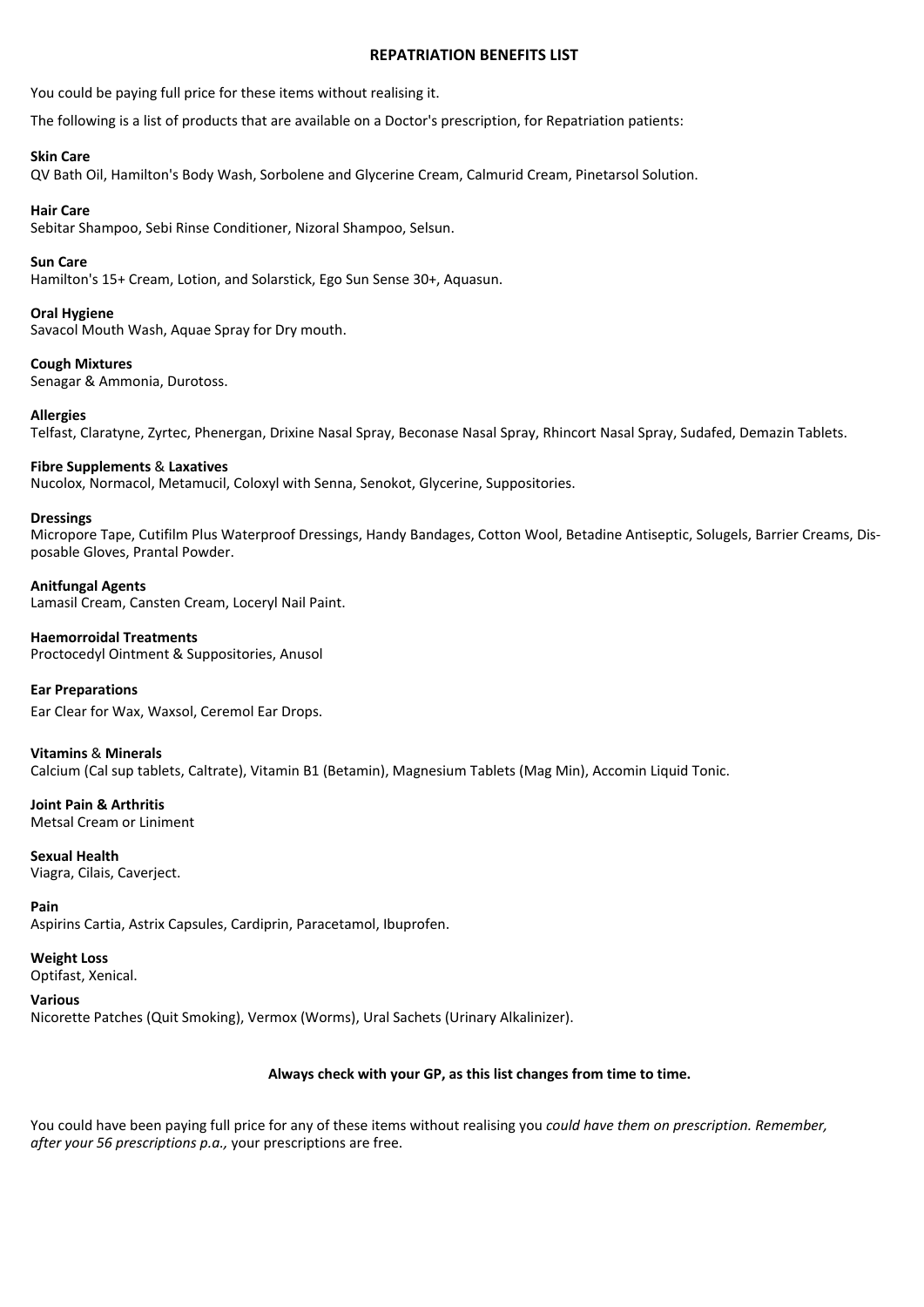#### **REPATRIATION BENEFITS LIST**

You could be paying full price for these items without realising it.

The following is a list of products that are available on a Doctor's prescription, for Repatriation patients:

#### **Skin Care**

QV Bath Oil, Hamilton's Body Wash, Sorbolene and Glycerine Cream, Calmurid Cream, Pinetarsol Solution.

#### **Hair Care**

Sebitar Shampoo, Sebi Rinse Conditioner, Nizoral Shampoo, Selsun.

#### **Sun Care**

Hamilton's 15+ Cream, Lotion, and Solarstick, Ego Sun Sense 30+, Aquasun.

#### **Oral Hygiene**

Savacol Mouth Wash, Aquae Spray for Dry mouth.

#### **Cough Mixtures**

Senagar & Ammonia, Durotoss.

#### **Allergies**

Telfast, Claratyne, Zyrtec, Phenergan, Drixine Nasal Spray, Beconase Nasal Spray, Rhincort Nasal Spray, Sudafed, Demazin Tablets.

#### **Fibre Supplements** & **Laxatives**

Nucolox, Normacol, Metamucil, Coloxyl with Senna, Senokot, Glycerine, Suppositories.

#### **Dressings**

Micropore Tape, Cutifilm Plus Waterproof Dressings, Handy Bandages, Cotton Wool, Betadine Antiseptic, Solugels, Barrier Creams, Dis‐ posable Gloves, Prantal Powder.

#### **Anitfungal Agents**

Lamasil Cream, Cansten Cream, Loceryl Nail Paint.

#### **Haemorroidal Treatments**

Proctocedyl Ointment & Suppositories, Anusol

#### **Ear Preparations**

Ear Clear for Wax, Waxsol, Ceremol Ear Drops.

#### **Vitamins** & **Minerals**

Calcium (Cal sup tablets, Caltrate), Vitamin B1 (Betamin), Magnesium Tablets (Mag Min), Accomin Liquid Tonic.

### **Joint Pain & Arthritis**

Metsal Cream or Liniment

#### **Sexual Health** Viagra, Cilais, Caverject.

**Pain**

Aspirins Cartia, Astrix Capsules, Cardiprin, Paracetamol, Ibuprofen.

#### **Weight Loss**  Optifast, Xenical.

**Various** Nicorette Patches (Quit Smoking), Vermox (Worms), Ural Sachets (Urinary Alkalinizer).

#### **Always check with your GP, as this list changes from time to time.**

You could have been paying full price for any of these items without realising you *could have them on prescription. Remember, after your 56 prescriptions p.a.,* your prescriptions are free.